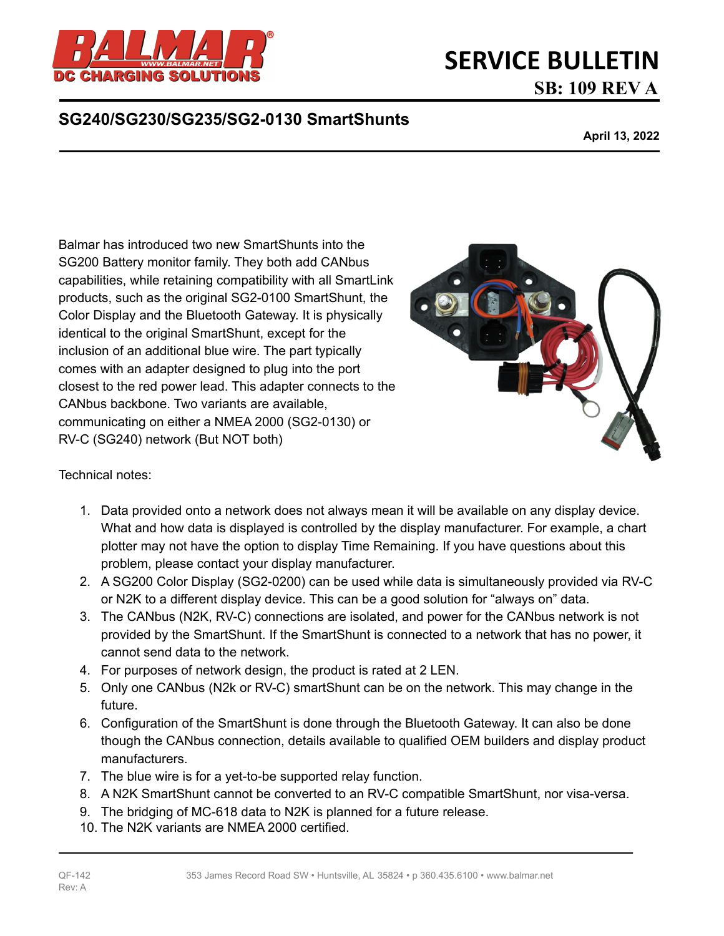

# **SERVICE BULLETIN SB: 109 REV A**

## **SG240/SG230/SG235/SG2-0130 SmartShunts**

**April 13, 2022**

Balmar has introduced two new SmartShunts into the SG200 Battery monitor family. They both add CANbus capabilities, while retaining compatibility with all SmartLink products, such as the original SG2-0100 SmartShunt, the Color Display and the Bluetooth Gateway. It is physically identical to the original SmartShunt, except for the inclusion of an additional blue wire. The part typically comes with an adapter designed to plug into the port closest to the red power lead. This adapter connects to the CANbus backbone. Two variants are available, communicating on either a NMEA 2000 (SG2-0130) or RV-C (SG240) network (But NOT both)



Technical notes:

- 1. Data provided onto a network does not always mean it will be available on any display device. What and how data is displayed is controlled by the display manufacturer. For example, a chart plotter may not have the option to display Time Remaining. If you have questions about this problem, please contact your display manufacturer.
- 2. A SG200 Color Display (SG2-0200) can be used while data is simultaneously provided via RV-C or N2K to a different display device. This can be a good solution for "always on" data.
- 3. The CANbus (N2K, RV-C) connections are isolated, and power for the CANbus network is not provided by the SmartShunt. If the SmartShunt is connected to a network that has no power, it cannot send data to the network.
- 4. For purposes of network design, the product is rated at 2 LEN.
- 5. Only one CANbus (N2k or RV-C) smartShunt can be on the network. This may change in the future.
- 6. Configuration of the SmartShunt is done through the Bluetooth Gateway. It can also be done though the CANbus connection, details available to qualified OEM builders and display product manufacturers.
- 7. The blue wire is for a yet-to-be supported relay function.
- 8. A N2K SmartShunt cannot be converted to an RV-C compatible SmartShunt, nor visa-versa.
- 9. The bridging of MC-618 data to N2K is planned for a future release.
- 10. The N2K variants are NMEA 2000 certified.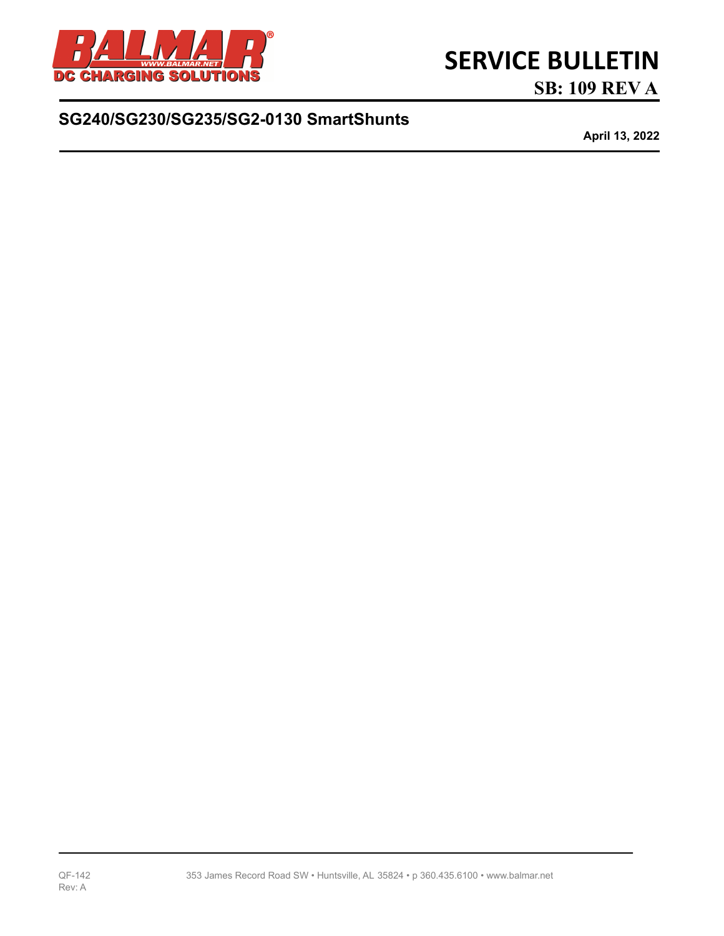

### **SG240/SG230/SG235/SG2-0130 SmartShunts**

**April 13, 2022**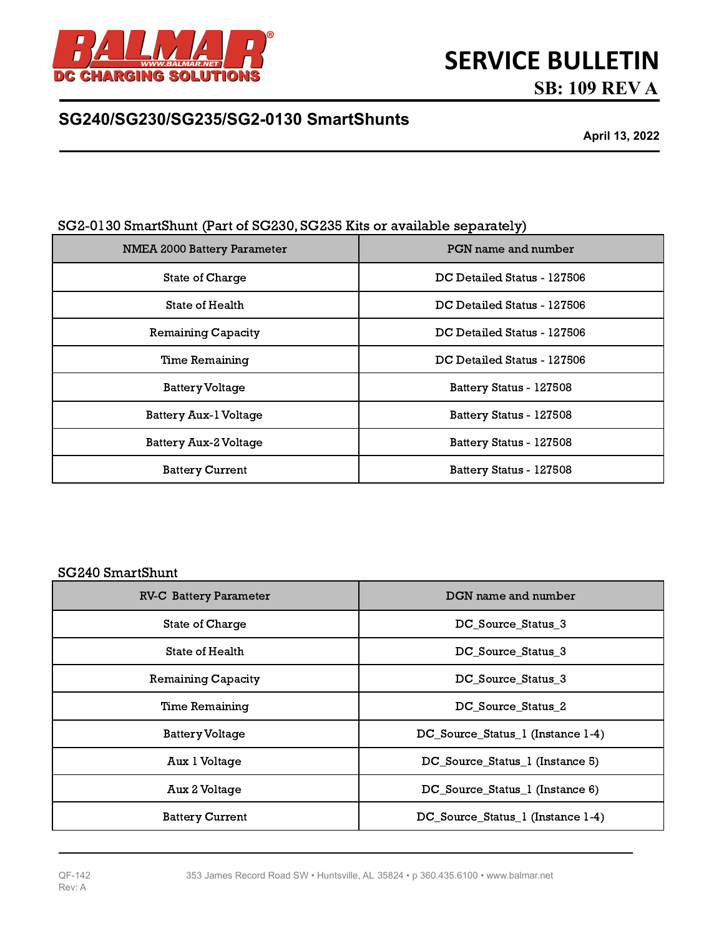

## **SG240/SG230/SG235/SG2-0130 SmartShunts**

**April 13, 2022**

#### SG2-0130 SmartShunt (Part of SG230, SG235 Kits or available separately)

| <b>NMEA 2000 Battery Parameter</b> | PGN name and number         |  |
|------------------------------------|-----------------------------|--|
| State of Charge                    | DC Detailed Status - 127506 |  |
| <b>State of Health</b>             | DC Detailed Status - 127506 |  |
| Remaining Capacity                 | DC Detailed Status - 127506 |  |
| Time Remaining                     | DC Detailed Status - 127506 |  |
| <b>Battery Voltage</b>             | Battery Status - 127508     |  |
| <b>Battery Aux-1 Voltage</b>       | Battery Status - 127508     |  |
| Battery Aux-2 Voltage              | Battery Status - 127508     |  |
| <b>Battery Current</b>             | Battery Status - 127508     |  |

#### SG240 SmartShunt

| <b>RV-C Battery Parameter</b> | DGN name and number               |  |
|-------------------------------|-----------------------------------|--|
| State of Charge               | DC_Source_Status_3                |  |
| <b>State of Health</b>        | DC_Source_Status_3                |  |
| Remaining Capacity            | DC_Source_Status_3                |  |
| Time Remaining                | DC Source Status 2                |  |
| Battery Voltage               | DC_Source_Status_1 (Instance 1-4) |  |
| Aux 1 Voltage                 | DC_Source_Status_1 (Instance 5)   |  |
| Aux 2 Voltage                 | DC_Source_Status_1 (Instance 6)   |  |
| <b>Battery Current</b>        | DC_Source_Status_1 (Instance 1-4) |  |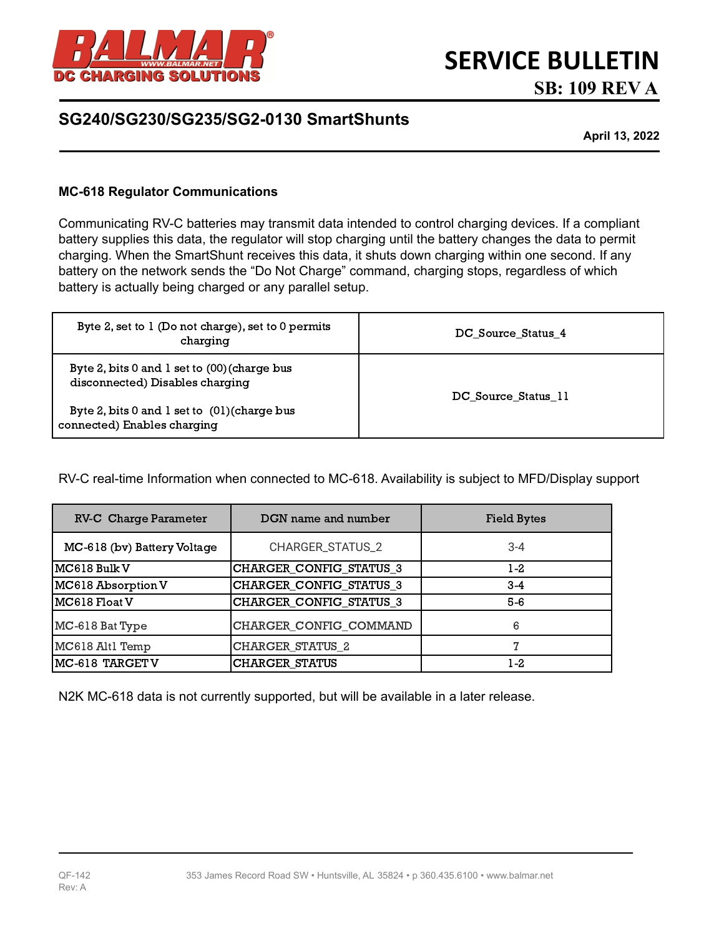

### **SG240/SG230/SG235/SG2-0130 SmartShunts**

**April 13, 2022**

#### **MC-618 Regulator Communications**

Communicating RV-C batteries may transmit data intended to control charging devices. If a compliant battery supplies this data, the regulator will stop charging until the battery changes the data to permit charging. When the SmartShunt receives this data, it shuts down charging within one second. If any battery on the network sends the "Do Not Charge" command, charging stops, regardless of which battery is actually being charged or any parallel setup.

| Byte 2, set to 1 (Do not charge), set to 0 permits<br>charging                        | DC Source Status 4  |  |
|---------------------------------------------------------------------------------------|---------------------|--|
| Byte 2, bits $0$ and $1$ set to $(00)$ (charge bus<br>disconnected) Disables charging |                     |  |
| Byte 2, bits $0$ and $1$ set to $(01)$ (charge bus<br>connected) Enables charging     | DC Source Status 11 |  |

RV-C real-time Information when connected to MC-618. Availability is subject to MFD/Display support

| <b>RV-C</b> Charge Parameter | DGN name and number     | <b>Field Bytes</b> |
|------------------------------|-------------------------|--------------------|
| MC-618 (bv) Battery Voltage  | CHARGER_STATUS_2        | $3 - 4$            |
| MC618 Bulk V                 | CHARGER CONFIG STATUS 3 | 1-2                |
| MC618 Absorption V           | CHARGER CONFIG STATUS 3 | $3 - 4$            |
| MC618 Float V                | CHARGER CONFIG STATUS 3 | $5-6$              |
| MC-618 Bat Type              | CHARGER_CONFIG_COMMAND  | 6                  |
| MC618 Alt1 Temp              | <b>CHARGER STATUS 2</b> |                    |
| MC-618 TARGET V              | <b>CHARGER STATUS</b>   | 1-2                |

N2K MC-618 data is not currently supported, but will be available in a later release.